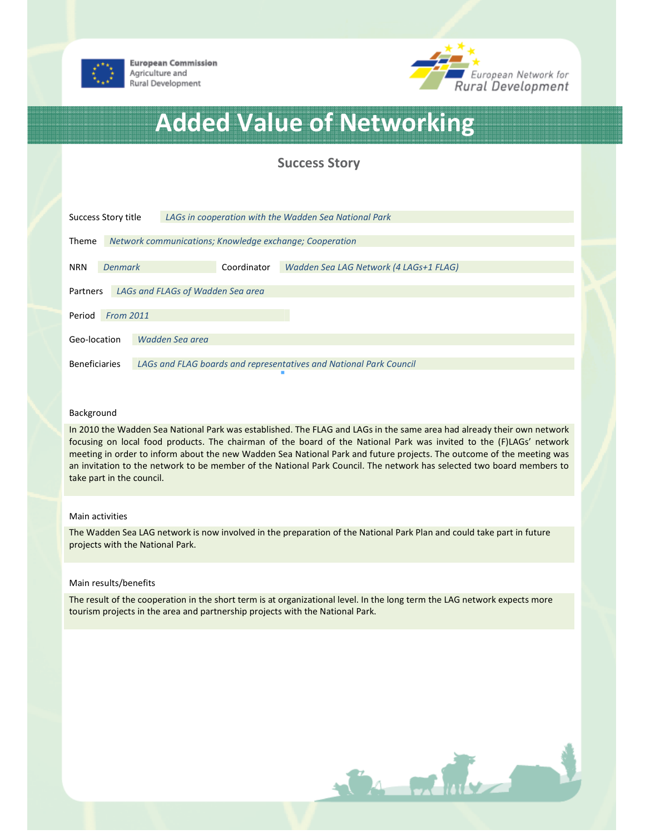

**European Commission** Agriculture and Rural Development



# Added Value of Networking

# Success Story

| Success Story title                                                                        |                                                         |                 | LAGs in cooperation with the Wadden Sea National Park |                                        |  |
|--------------------------------------------------------------------------------------------|---------------------------------------------------------|-----------------|-------------------------------------------------------|----------------------------------------|--|
| <b>Theme</b>                                                                               | Network communications; Knowledge exchange; Cooperation |                 |                                                       |                                        |  |
| <b>NRN</b>                                                                                 | <b>Denmark</b>                                          |                 | Coordinator                                           | Wadden Sea LAG Network (4 LAGs+1 FLAG) |  |
| LAGs and FLAGs of Wadden Sea area<br>Partners                                              |                                                         |                 |                                                       |                                        |  |
| <b>From 2011</b><br>Period                                                                 |                                                         |                 |                                                       |                                        |  |
| Geo-location                                                                               |                                                         | Wadden Sea area |                                                       |                                        |  |
| LAGs and FLAG boards and representatives and National Park Council<br><b>Beneficiaries</b> |                                                         |                 |                                                       |                                        |  |

## Background

In 2010 the Wadden Sea National Park was established. The FLAG and LAGs in the same area had already their own network focusing on local food products. The chairman of the board of the National Park was invited to the (F)LAGs' network meeting in order to inform about the new Wadden Sea National Park and future projects. The outcome of the meeting was an invitation to the network to be member of the National Park Council. The network has selected two board members to take part in the council.

#### Main activities

The Wadden Sea LAG network is now involved in the preparation of the National Park Plan and could take part in future projects with the National Park.

#### Main results/benefits

The result of the cooperation in the short term is at organizational level. In the long term the LAG network expects more tourism projects in the area and partnership projects with the National Park.